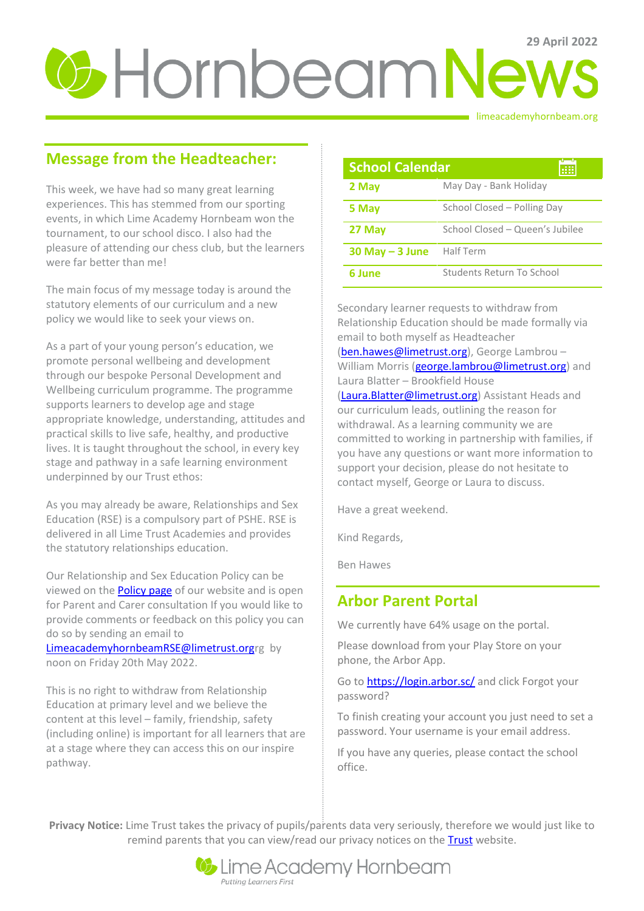# **29 Hornbeam News**

limeacademyhornbeam.org

# **Message from the Headteacher:**

This week, we have had so many great learning experiences. This has stemmed from our sporting events, in which Lime Academy Hornbeam won the tournament, to our school disco. I also had the pleasure of attending our chess club, but the learners were far better than me!

The main focus of my message today is around the statutory elements of our curriculum and a new policy we would like to seek your views on.

As a part of your young person's education, we promote personal wellbeing and development through our bespoke Personal Development and Wellbeing curriculum programme. The programme supports learners to develop age and stage appropriate knowledge, understanding, attitudes and practical skills to live safe, healthy, and productive lives. It is taught throughout the school, in every key stage and pathway in a safe learning environment underpinned by our Trust ethos:

As you may already be aware, Relationships and Sex Education (RSE) is a compulsory part of PSHE. RSE is delivered in all Lime Trust Academies and provides the statutory relationships education.

Our Relationship and Sex Education Policy can be viewed on the **Policy page** of our website and is open for Parent and Carer consultation If you would like to provide comments or feedback on this policy you can do so by sending an email to

[LimeacademyhornbeamRSE@limetrust.orgr](mailto:LimeacademyhornbeamRSE@limetrust.org)g by noon on Friday 20th May 2022.

This is no right to withdraw from Relationship Education at primary level and we believe the content at this level – family, friendship, safety (including online) is important for all learners that are at a stage where they can access this on our inspire pathway.

| <b>School Calendar</b> |                                 |
|------------------------|---------------------------------|
| 2 May                  | May Day - Bank Holiday          |
| 5 May                  | School Closed - Polling Day     |
| 27 May                 | School Closed - Queen's Jubilee |
| $30$ May $-$ 3 June    | Half Term                       |
| 6 June                 | Students Return To School       |

Secondary learner requests to withdraw from Relationship Education should be made formally via email to both myself as Headteacher

[\(ben.hawes@limetrust.org\)](mailto:ben.hawes@limetrust.org), George Lambrou -William Morris [\(george.lambrou@limetrust.org\)](mailto:george.lambrou@limetrust.org) and Laura Blatter – Brookfield House

[\(Laura.Blatter@limetrust.org\)](mailto:Laura.Blatter@limetrust.org) Assistant Heads and our curriculum leads, outlining the reason for withdrawal. As a learning community we are committed to working in partnership with families, if you have any questions or want more information to support your decision, please do not hesitate to contact myself, George or Laura to discuss.

Have a great weekend.

Kind Regards,

Ben Hawes

# **Arbor Parent Portal**

We currently have 64% usage on the portal.

Please download from your Play Store on your phone, the Arbor App.

Go to **https://login.arbor.sc/** and click Forgot your password?

To finish creating your account you just need to set a password. Your username is your email address.

If you have any queries, please contact the school office.

**Privacy Notice:** Lime Trust takes the privacy of pupils/parents data very seriously, therefore we would just like to remind parents that you can view/read our privacy notices on the **Trust** website.

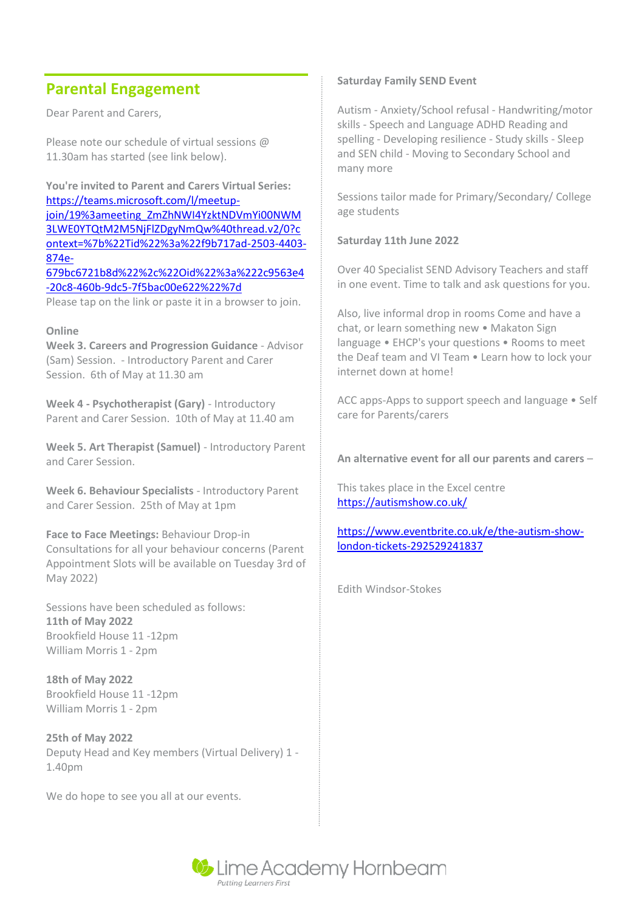# **Parental Engagement**

Dear Parent and Carers,

Please note our schedule of virtual sessions @ 11.30am has started (see link below).

**You're invited to Parent and Carers Virtual Series:**  [https://teams.microsoft.com/l/meetup](https://teams.microsoft.com/l/meetup-join/19%3ameeting_ZmZhNWI4YzktNDVmYi00NWM3LWE0YTQtM2M5NjFlZDgyNmQw%40thread.v2/0?context=%7b%22Tid%22%3a%22f9b717ad-2503-4403-874e-679bc6721b8d%22%2c%22Oid%22%3a%222c9563e4-20c8-460b-9dc5-7f5bac00e622%22%7d)[join/19%3ameeting\\_ZmZhNWI4YzktNDVmYi00NWM](https://teams.microsoft.com/l/meetup-join/19%3ameeting_ZmZhNWI4YzktNDVmYi00NWM3LWE0YTQtM2M5NjFlZDgyNmQw%40thread.v2/0?context=%7b%22Tid%22%3a%22f9b717ad-2503-4403-874e-679bc6721b8d%22%2c%22Oid%22%3a%222c9563e4-20c8-460b-9dc5-7f5bac00e622%22%7d) [3LWE0YTQtM2M5NjFlZDgyNmQw%40thread.v2/0?c](https://teams.microsoft.com/l/meetup-join/19%3ameeting_ZmZhNWI4YzktNDVmYi00NWM3LWE0YTQtM2M5NjFlZDgyNmQw%40thread.v2/0?context=%7b%22Tid%22%3a%22f9b717ad-2503-4403-874e-679bc6721b8d%22%2c%22Oid%22%3a%222c9563e4-20c8-460b-9dc5-7f5bac00e622%22%7d) [ontext=%7b%22Tid%22%3a%22f9b717ad-2503-4403-](https://teams.microsoft.com/l/meetup-join/19%3ameeting_ZmZhNWI4YzktNDVmYi00NWM3LWE0YTQtM2M5NjFlZDgyNmQw%40thread.v2/0?context=%7b%22Tid%22%3a%22f9b717ad-2503-4403-874e-679bc6721b8d%22%2c%22Oid%22%3a%222c9563e4-20c8-460b-9dc5-7f5bac00e622%22%7d) [874e-](https://teams.microsoft.com/l/meetup-join/19%3ameeting_ZmZhNWI4YzktNDVmYi00NWM3LWE0YTQtM2M5NjFlZDgyNmQw%40thread.v2/0?context=%7b%22Tid%22%3a%22f9b717ad-2503-4403-874e-679bc6721b8d%22%2c%22Oid%22%3a%222c9563e4-20c8-460b-9dc5-7f5bac00e622%22%7d)[679bc6721b8d%22%2c%22Oid%22%3a%222c9563e4](https://teams.microsoft.com/l/meetup-join/19%3ameeting_ZmZhNWI4YzktNDVmYi00NWM3LWE0YTQtM2M5NjFlZDgyNmQw%40thread.v2/0?context=%7b%22Tid%22%3a%22f9b717ad-2503-4403-874e-679bc6721b8d%22%2c%22Oid%22%3a%222c9563e4-20c8-460b-9dc5-7f5bac00e622%22%7d) [-20c8-460b-9dc5-7f5bac00e622%22%7d](https://teams.microsoft.com/l/meetup-join/19%3ameeting_ZmZhNWI4YzktNDVmYi00NWM3LWE0YTQtM2M5NjFlZDgyNmQw%40thread.v2/0?context=%7b%22Tid%22%3a%22f9b717ad-2503-4403-874e-679bc6721b8d%22%2c%22Oid%22%3a%222c9563e4-20c8-460b-9dc5-7f5bac00e622%22%7d) Please tap on the link or paste it in a browser to join.

### **Online**

**Week 3. Careers and Progression Guidance** - Advisor (Sam) Session. - Introductory Parent and Carer Session. 6th of May at 11.30 am

**Week 4 - Psychotherapist (Gary)** - Introductory Parent and Carer Session. 10th of May at 11.40 am

**Week 5. Art Therapist (Samuel)** - Introductory Parent and Carer Session.

**Week 6. Behaviour Specialists** - Introductory Parent and Carer Session. 25th of May at 1pm

**Face to Face Meetings:** Behaviour Drop-in Consultations for all your behaviour concerns (Parent Appointment Slots will be available on Tuesday 3rd of May 2022)

Sessions have been scheduled as follows: **11th of May 2022**  Brookfield House 11 -12pm William Morris 1 - 2pm

**18th of May 2022**  Brookfield House 11 -12pm William Morris 1 - 2pm

**25th of May 2022**  Deputy Head and Key members (Virtual Delivery) 1 - 1.40pm

We do hope to see you all at our events.

### **Saturday Family SEND Event**

Autism - Anxiety/School refusal - Handwriting/motor skills - Speech and Language ADHD Reading and spelling - Developing resilience - Study skills - Sleep and SEN child - Moving to Secondary School and many more

Sessions tailor made for Primary/Secondary/ College age students

### **Saturday 11th June 2022**

Over 40 Specialist SEND Advisory Teachers and staff in one event. Time to talk and ask questions for you.

Also, live informal drop in rooms Come and have a chat, or learn something new • Makaton Sign language • EHCP's your questions • Rooms to meet the Deaf team and VI Team • Learn how to lock your internet down at home!

ACC apps-Apps to support speech and language • Self care for Parents/carers

**An alternative event for all our parents and carers** –

This takes place in the Excel centre <https://autismshow.co.uk/>

[https://www.eventbrite.co.uk/e/the-autism-show](https://www.eventbrite.co.uk/e/the-autism-show-london-tickets-292529241837)[london-tickets-292529241837](https://www.eventbrite.co.uk/e/the-autism-show-london-tickets-292529241837)

Edith Windsor-Stokes